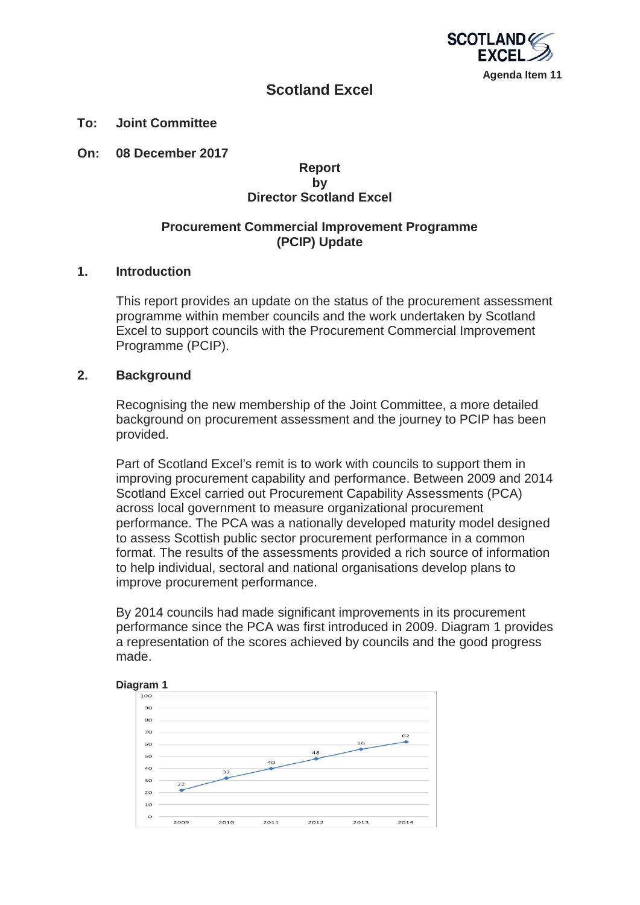

# **Scotland Excel**

#### **To: Joint Committee**

**On: 08 December 2017** 

#### **Report by Director Scotland Excel**

### **Procurement Commercial Improvement Programme (PCIP) Update**

#### **1. Introduction**

This report provides an update on the status of the procurement assessment programme within member councils and the work undertaken by Scotland Excel to support councils with the Procurement Commercial Improvement Programme (PCIP).

#### **2. Background**

Recognising the new membership of the Joint Committee, a more detailed background on procurement assessment and the journey to PCIP has been provided.

Part of Scotland Excel's remit is to work with councils to support them in improving procurement capability and performance. Between 2009 and 2014 Scotland Excel carried out Procurement Capability Assessments (PCA) across local government to measure organizational procurement performance. The PCA was a nationally developed maturity model designed to assess Scottish public sector procurement performance in a common format. The results of the assessments provided a rich source of information to help individual, sectoral and national organisations develop plans to improve procurement performance.

By 2014 councils had made significant improvements in its procurement performance since the PCA was first introduced in 2009. Diagram 1 provides a representation of the scores achieved by councils and the good progress made.



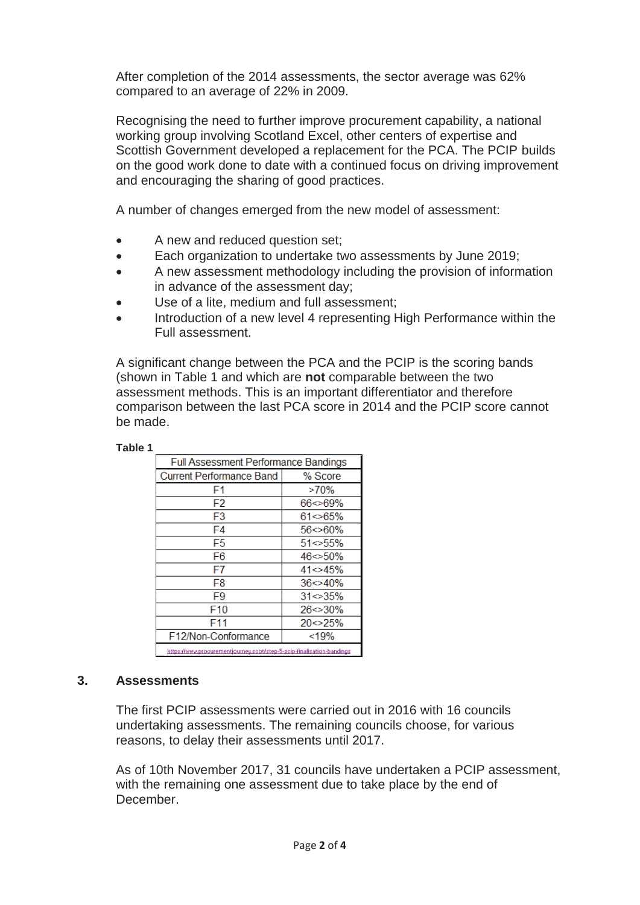After completion of the 2014 assessments, the sector average was 62% compared to an average of 22% in 2009.

Recognising the need to further improve procurement capability, a national working group involving Scotland Excel, other centers of expertise and Scottish Government developed a replacement for the PCA. The PCIP builds on the good work done to date with a continued focus on driving improvement and encouraging the sharing of good practices.

A number of changes emerged from the new model of assessment:

- A new and reduced question set;
- **Each organization to undertake two assessments by June 2019;**
- A new assessment methodology including the provision of information in advance of the assessment day;
- Use of a lite, medium and full assessment:
- Introduction of a new level 4 representing High Performance within the Full assessment.

A significant change between the PCA and the PCIP is the scoring bands (shown in Table 1 and which are **not** comparable between the two assessment methods. This is an important differentiator and therefore comparison between the last PCA score in 2014 and the PCIP score cannot be made.

# **Table 1**

| <b>Full Assessment Performance Bandings</b>                           |               |
|-----------------------------------------------------------------------|---------------|
| <b>Current Performance Band</b>                                       | % Score       |
| F1                                                                    | >70%          |
| F <sub>2</sub>                                                        | $66 < 69\%$   |
| F <sub>3</sub>                                                        | $61 \le 65\%$ |
| F4                                                                    | $56 \le 60\%$ |
| F <sub>5</sub>                                                        | $51 \le 55\%$ |
| F6                                                                    | $46 \le 50\%$ |
| F7                                                                    | 41 < 45%      |
| F8                                                                    | $36 \le 40\%$ |
| F9                                                                    | $31 \le 35\%$ |
| F10                                                                   | $26 \le 30\%$ |
| F11                                                                   | $20 \le 25\%$ |
| F12/Non-Conformance                                                   | < 19%         |
| https://www.procurementiourneu.scot/step-5-pcip-finalisation-bandings |               |

#### **3. Assessments**

The first PCIP assessments were carried out in 2016 with 16 councils undertaking assessments. The remaining councils choose, for various reasons, to delay their assessments until 2017.

As of 10th November 2017, 31 councils have undertaken a PCIP assessment, with the remaining one assessment due to take place by the end of December.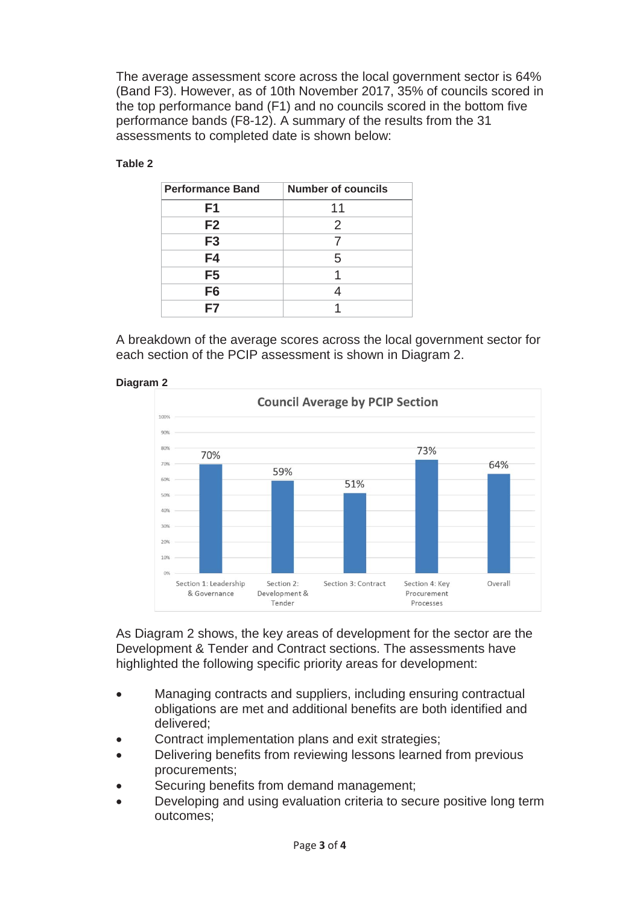The average assessment score across the local government sector is 64% (Band F3). However, as of 10th November 2017, 35% of councils scored in the top performance band (F1) and no councils scored in the bottom five performance bands (F8-12). A summary of the results from the 31 assessments to completed date is shown below:

#### **Table 2**

| <b>Performance Band</b> | <b>Number of councils</b> |
|-------------------------|---------------------------|
| F <sub>1</sub>          | 11                        |
| F <sub>2</sub>          | $\mathcal{P}$             |
| F <sub>3</sub>          |                           |
| F4                      | 5                         |
| F <sub>5</sub>          |                           |
| F <sub>6</sub>          |                           |
| F7                      |                           |

A breakdown of the average scores across the local government sector for each section of the PCIP assessment is shown in Diagram 2.





As Diagram 2 shows, the key areas of development for the sector are the Development & Tender and Contract sections. The assessments have highlighted the following specific priority areas for development:

- Managing contracts and suppliers, including ensuring contractual obligations are met and additional benefits are both identified and delivered;
- Contract implementation plans and exit strategies;
- Delivering benefits from reviewing lessons learned from previous procurements;
- Securing benefits from demand management;
- Developing and using evaluation criteria to secure positive long term outcomes;